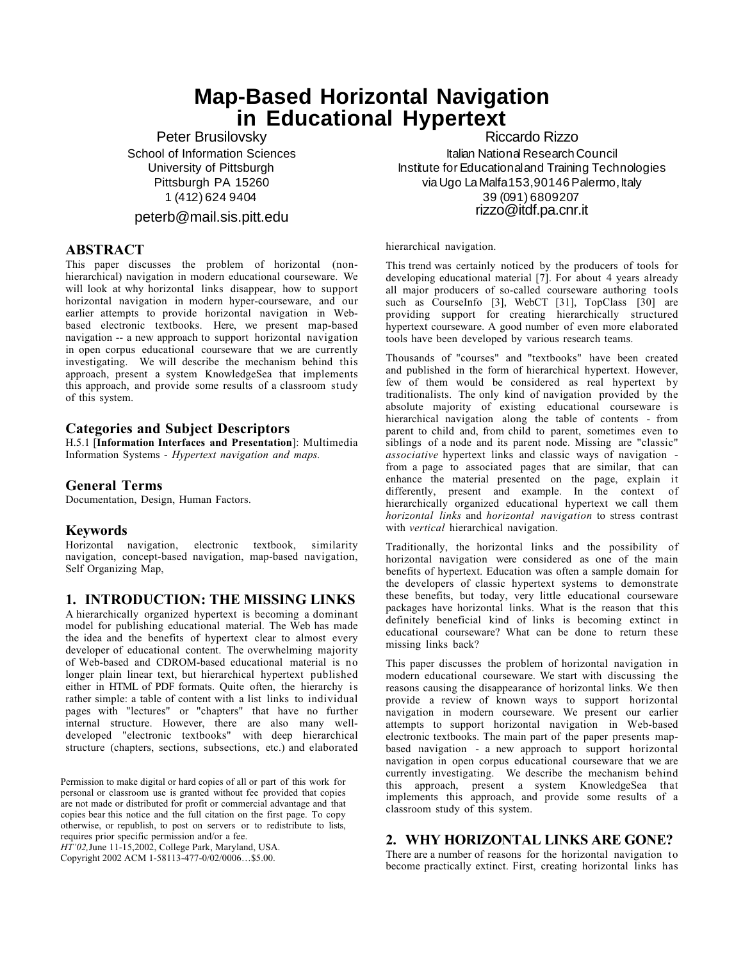# **Map-Based Horizontal Navigation in Educational Hypertext**

Peter Brusilovsky School of Information Sciences University of Pittsburgh Pittsburgh PA 15260 1 (412) 624 9404

# peterb@mail.sis.pitt.edu

# **ABSTRACT**

This paper discusses the problem of horizontal (nonhierarchical) navigation in modern educational courseware. We will look at why horizontal links disappear, how to support horizontal navigation in modern hyper-courseware, and our earlier attempts to provide horizontal navigation in Webbased electronic textbooks. Here, we present map-based navigation -- a new approach to support horizontal navigation in open corpus educational courseware that we are currently investigating. We will describe the mechanism behind this approach, present a system KnowledgeSea that implements this approach, and provide some results of a classroom study of this system.

# **Categories and Subject Descriptors**

H.5.1 [**Information Interfaces and Presentation**]: Multimedia Information Systems - *Hypertext navigation and maps.*

### **General Terms**

Documentation, Design, Human Factors.

# **Keywords**

Horizontal navigation, electronic textbook, similarity navigation, concept-based navigation, map-based navigation, Self Organizing Map,

# **1. INTRODUCTION: THE MISSING LINKS**

A hierarchically organized hypertext is becoming a dominant model for publishing educational material. The Web has made the idea and the benefits of hypertext clear to almost every developer of educational content. The overwhelming majority of Web-based and CDROM-based educational material is no longer plain linear text, but hierarchical hypertext published either in HTML of PDF formats. Quite often, the hierarchy is rather simple: a table of content with a list links to individual pages with "lectures" or "chapters" that have no further internal structure. However, there are also many welldeveloped "electronic textbooks" with deep hierarchical structure (chapters, sections, subsections, etc.) and elaborated

Permission to make digital or hard copies of all or part of this work for personal or classroom use is granted without fee provided that copies are not made or distributed for profit or commercial advantage and that copies bear this notice and the full citation on the first page. To copy otherwise, or republish, to post on servers or to redistribute to lists, requires prior specific permission and/or a fee.

*HT'02,*June 11-15,2002, College Park, Maryland, USA.

Copyright 2002 ACM 1-58113-477-0/02/0006…\$5.00.

Riccardo Rizzo Italian National Research Council Institute for Educational and Training Technologies via Ugo La Malfa 153,90146 Palermo, Italy 39 (091) 6809207 rizzo@itdf.pa.cnr.it

hierarchical navigation.

This trend was certainly noticed by the producers of tools for developing educational material [7]. For about 4 years already all major producers of so-called courseware authoring tools such as CourseInfo [3], WebCT [31], TopClass [30] are providing support for creating hierarchically structured hypertext courseware. A good number of even more elaborated tools have been developed by various research teams.

Thousands of "courses" and "textbooks" have been created and published in the form of hierarchical hypertext. However, few of them would be considered as real hypertext by traditionalists. The only kind of navigation provided by the absolute majority of existing educational courseware is hierarchical navigation along the table of contents - from parent to child and, from child to parent, sometimes even to siblings of a node and its parent node. Missing are "classic" *associative* hypertext links and classic ways of navigation from a page to associated pages that are similar, that can enhance the material presented on the page, explain it differently, present and example. In the context of hierarchically organized educational hypertext we call them *horizontal links* and *horizontal navigation* to stress contrast with *vertical* hierarchical navigation.

Traditionally, the horizontal links and the possibility of horizontal navigation were considered as one of the main benefits of hypertext. Education was often a sample domain for the developers of classic hypertext systems to demonstrate these benefits, but today, very little educational courseware packages have horizontal links. What is the reason that this definitely beneficial kind of links is becoming extinct in educational courseware? What can be done to return these missing links back?

This paper discusses the problem of horizontal navigation in modern educational courseware. We start with discussing the reasons causing the disappearance of horizontal links. We then provide a review of known ways to support horizontal navigation in modern courseware. We present our earlier attempts to support horizontal navigation in Web-based electronic textbooks. The main part of the paper presents mapbased navigation - a new approach to support horizontal navigation in open corpus educational courseware that we are currently investigating. We describe the mechanism behind this approach, present a system KnowledgeSea that implements this approach, and provide some results of a classroom study of this system.

# **2. WHY HORIZONTAL LINKS ARE GONE?**

There are a number of reasons for the horizontal navigation to become practically extinct. First, creating horizontal links has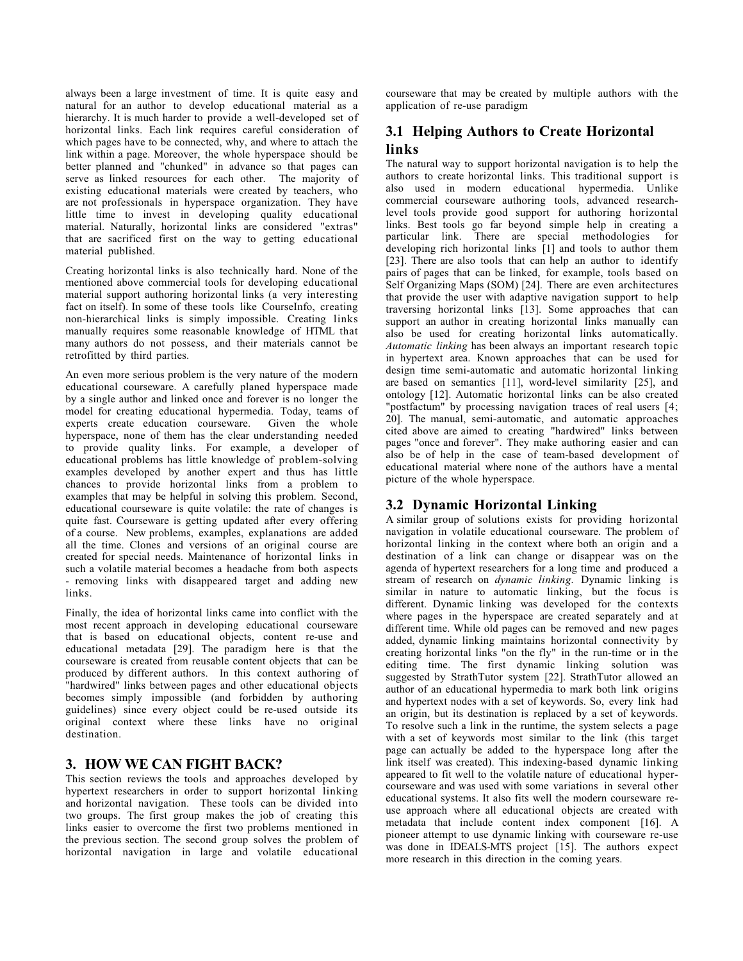always been a large investment of time. It is quite easy and natural for an author to develop educational material as a hierarchy. It is much harder to provide a well-developed set of horizontal links. Each link requires careful consideration of which pages have to be connected, why, and where to attach the link within a page. Moreover, the whole hyperspace should be better planned and "chunked" in advance so that pages can serve as linked resources for each other. The majority of existing educational materials were created by teachers, who are not professionals in hyperspace organization. They have little time to invest in developing quality educational material. Naturally, horizontal links are considered "extras" that are sacrificed first on the way to getting educational material published.

Creating horizontal links is also technically hard. None of the mentioned above commercial tools for developing educational material support authoring horizontal links (a very interesting fact on itself). In some of these tools like CourseInfo, creating non-hierarchical links is simply impossible. Creating links manually requires some reasonable knowledge of HTML that many authors do not possess, and their materials cannot be retrofitted by third parties.

An even more serious problem is the very nature of the modern educational courseware. A carefully planed hyperspace made by a single author and linked once and forever is no longer the model for creating educational hypermedia. Today, teams of experts create education courseware. Given the whole hyperspace, none of them has the clear understanding needed to provide quality links. For example, a developer of educational problems has little knowledge of problem-solving examples developed by another expert and thus has little chances to provide horizontal links from a problem to examples that may be helpful in solving this problem. Second, educational courseware is quite volatile: the rate of changes is quite fast. Courseware is getting updated after every offering of a course. New problems, examples, explanations are added all the time. Clones and versions of an original course are created for special needs. Maintenance of horizontal links in such a volatile material becomes a headache from both aspects - removing links with disappeared target and adding new links.

Finally, the idea of horizontal links came into conflict with the most recent approach in developing educational courseware that is based on educational objects, content re-use and educational metadata [29]. The paradigm here is that the courseware is created from reusable content objects that can be produced by different authors. In this context authoring of "hardwired" links between pages and other educational objects becomes simply impossible (and forbidden by authoring guidelines) since every object could be re-used outside its original context where these links have no original destination.

# **3. HOW WE CAN FIGHT BACK?**

This section reviews the tools and approaches developed by hypertext researchers in order to support horizontal linking and horizontal navigation. These tools can be divided into two groups. The first group makes the job of creating this links easier to overcome the first two problems mentioned in the previous section. The second group solves the problem of horizontal navigation in large and volatile educational courseware that may be created by multiple authors with the application of re-use paradigm

# **3.1 Helping Authors to Create Horizontal links**

The natural way to support horizontal navigation is to help the authors to create horizontal links. This traditional support is also used in modern educational hypermedia. Unlike commercial courseware authoring tools, advanced researchlevel tools provide good support for authoring horizontal links. Best tools go far beyond simple help in creating a particular link. There are special methodologies for developing rich horizontal links [1] and tools to author them [23]. There are also tools that can help an author to identify pairs of pages that can be linked, for example, tools based on Self Organizing Maps (SOM) [24]. There are even architectures that provide the user with adaptive navigation support to help traversing horizontal links [13]. Some approaches that can support an author in creating horizontal links manually can also be used for creating horizontal links automatically. *Automatic linking* has been always an important research topic in hypertext area. Known approaches that can be used for design time semi-automatic and automatic horizontal linking are based on semantics [11], word-level similarity [25], and ontology [12]. Automatic horizontal links can be also created "postfactum" by processing navigation traces of real users [4; 20]. The manual, semi-automatic, and automatic approaches cited above are aimed to creating "hardwired" links between pages "once and forever". They make authoring easier and can also be of help in the case of team-based development of educational material where none of the authors have a mental picture of the whole hyperspace.

# **3.2 Dynamic Horizontal Linking**

A similar group of solutions exists for providing horizontal navigation in volatile educational courseware. The problem of horizontal linking in the context where both an origin and a destination of a link can change or disappear was on the agenda of hypertext researchers for a long time and produced a stream of research on *dynamic linking.* Dynamic linking is similar in nature to automatic linking, but the focus is different. Dynamic linking was developed for the contexts where pages in the hyperspace are created separately and at different time. While old pages can be removed and new pages added, dynamic linking maintains horizontal connectivity by creating horizontal links "on the fly" in the run-time or in the editing time. The first dynamic linking solution was suggested by StrathTutor system [22]. StrathTutor allowed an author of an educational hypermedia to mark both link origins and hypertext nodes with a set of keywords. So, every link had an origin, but its destination is replaced by a set of keywords. To resolve such a link in the runtime, the system selects a page with a set of keywords most similar to the link (this target page can actually be added to the hyperspace long after the link itself was created). This indexing-based dynamic linking appeared to fit well to the volatile nature of educational hypercourseware and was used with some variations in several other educational systems. It also fits well the modern courseware reuse approach where all educational objects are created with metadata that include content index component [16]. A pioneer attempt to use dynamic linking with courseware re-use was done in IDEALS-MTS project [15]. The authors expect more research in this direction in the coming years.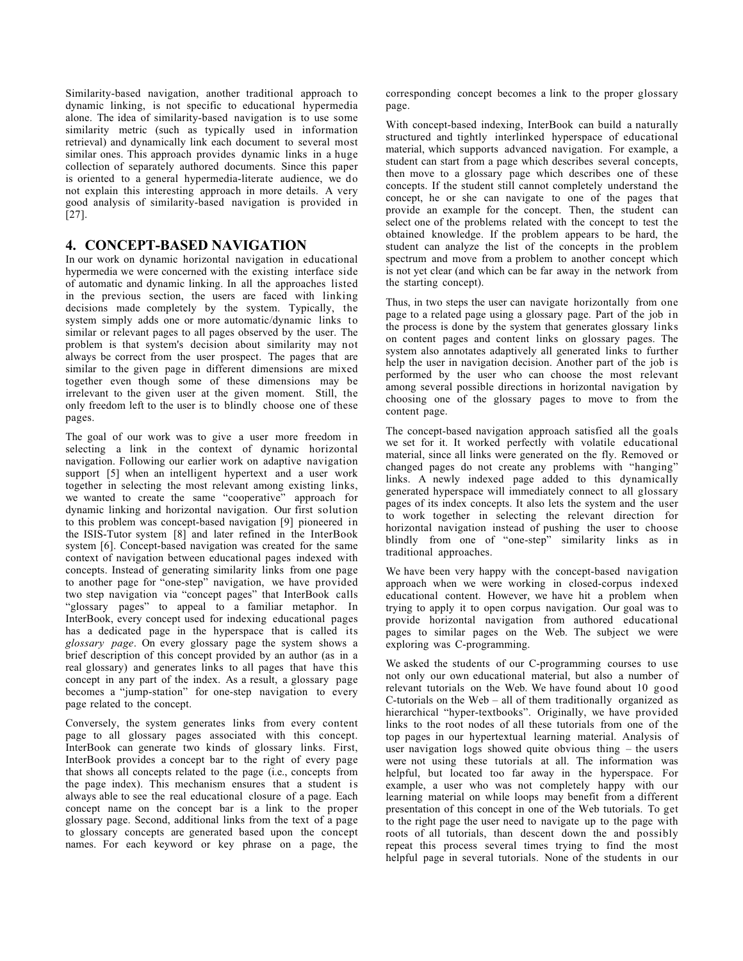Similarity-based navigation, another traditional approach to dynamic linking, is not specific to educational hypermedia alone. The idea of similarity-based navigation is to use some similarity metric (such as typically used in information retrieval) and dynamically link each document to several most similar ones. This approach provides dynamic links in a huge collection of separately authored documents. Since this paper is oriented to a general hypermedia-literate audience, we do not explain this interesting approach in more details. A very good analysis of similarity-based navigation is provided in [27].

# **4. CONCEPT-BASED NAVIGATION**

In our work on dynamic horizontal navigation in educational hypermedia we were concerned with the existing interface side of automatic and dynamic linking. In all the approaches listed in the previous section, the users are faced with linking decisions made completely by the system. Typically, the system simply adds one or more automatic/dynamic links to similar or relevant pages to all pages observed by the user. The problem is that system's decision about similarity may not always be correct from the user prospect. The pages that are similar to the given page in different dimensions are mixed together even though some of these dimensions may be irrelevant to the given user at the given moment. Still, the only freedom left to the user is to blindly choose one of these pages.

The goal of our work was to give a user more freedom in selecting a link in the context of dynamic horizontal navigation. Following our earlier work on adaptive navigation support [5] when an intelligent hypertext and a user work together in selecting the most relevant among existing links, we wanted to create the same "cooperative" approach for dynamic linking and horizontal navigation. Our first solution to this problem was concept-based navigation [9] pioneered in the ISIS-Tutor system [8] and later refined in the InterBook system [6]. Concept-based navigation was created for the same context of navigation between educational pages indexed with concepts. Instead of generating similarity links from one page to another page for "one-step" navigation, we have provided two step navigation via "concept pages" that InterBook calls "glossary pages" to appeal to a familiar metaphor. In InterBook, every concept used for indexing educational pages has a dedicated page in the hyperspace that is called its *glossary page*. On every glossary page the system shows a brief description of this concept provided by an author (as in a real glossary) and generates links to all pages that have this concept in any part of the index. As a result, a glossary page becomes a "jump-station" for one-step navigation to every page related to the concept.

Conversely, the system generates links from every content page to all glossary pages associated with this concept. InterBook can generate two kinds of glossary links. First, InterBook provides a concept bar to the right of every page that shows all concepts related to the page (i.e., concepts from the page index). This mechanism ensures that a student is always able to see the real educational closure of a page. Each concept name on the concept bar is a link to the proper glossary page. Second, additional links from the text of a page to glossary concepts are generated based upon the concept names. For each keyword or key phrase on a page, the corresponding concept becomes a link to the proper glossary page.

With concept-based indexing, InterBook can build a naturally structured and tightly interlinked hyperspace of educational material, which supports advanced navigation. For example, a student can start from a page which describes several concepts, then move to a glossary page which describes one of these concepts. If the student still cannot completely understand the concept, he or she can navigate to one of the pages that provide an example for the concept. Then, the student can select one of the problems related with the concept to test the obtained knowledge. If the problem appears to be hard, the student can analyze the list of the concepts in the problem spectrum and move from a problem to another concept which is not yet clear (and which can be far away in the network from the starting concept).

Thus, in two steps the user can navigate horizontally from one page to a related page using a glossary page. Part of the job in the process is done by the system that generates glossary links on content pages and content links on glossary pages. The system also annotates adaptively all generated links to further help the user in navigation decision. Another part of the job is performed by the user who can choose the most relevant among several possible directions in horizontal navigation by choosing one of the glossary pages to move to from the content page.

The concept-based navigation approach satisfied all the goals we set for it. It worked perfectly with volatile educational material, since all links were generated on the fly. Removed or changed pages do not create any problems with "hanging" links. A newly indexed page added to this dynamically generated hyperspace will immediately connect to all glossary pages of its index concepts. It also lets the system and the user to work together in selecting the relevant direction for horizontal navigation instead of pushing the user to choose blindly from one of "one-step" similarity links as in traditional approaches.

We have been very happy with the concept-based navigation approach when we were working in closed-corpus indexed educational content. However, we have hit a problem when trying to apply it to open corpus navigation. Our goal was to provide horizontal navigation from authored educational pages to similar pages on the Web. The subject we were exploring was C-programming.

We asked the students of our C-programming courses to use not only our own educational material, but also a number of relevant tutorials on the Web. We have found about 10 good C-tutorials on the Web – all of them traditionally organized as hierarchical "hyper-textbooks". Originally, we have provided links to the root nodes of all these tutorials from one of the top pages in our hypertextual learning material. Analysis of user navigation logs showed quite obvious thing – the users were not using these tutorials at all. The information was helpful, but located too far away in the hyperspace. For example, a user who was not completely happy with our learning material on while loops may benefit from a different presentation of this concept in one of the Web tutorials. To get to the right page the user need to navigate up to the page with roots of all tutorials, than descent down the and possibly repeat this process several times trying to find the most helpful page in several tutorials. None of the students in our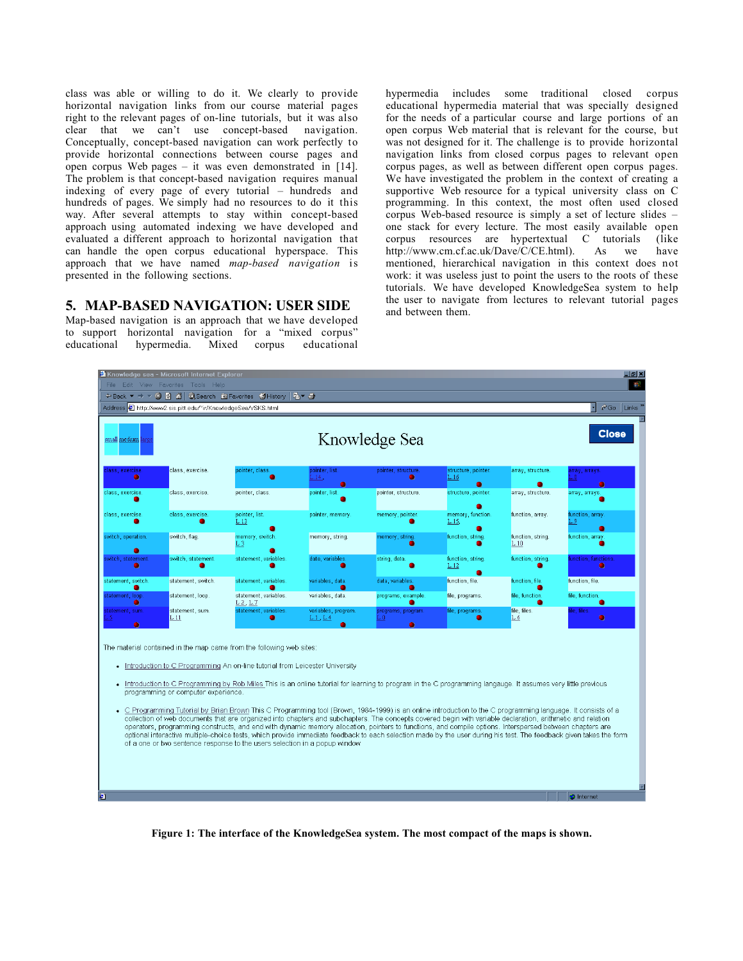class was able or willing to do it. We clearly to provide horizontal navigation links from our course material pages right to the relevant pages of on-line tutorials, but it was also clear that we can't use concept-based navigation. Conceptually, concept-based navigation can work perfectly to provide horizontal connections between course pages and open corpus Web pages – it was even demonstrated in [14]. The problem is that concept-based navigation requires manual indexing of every page of every tutorial – hundreds and hundreds of pages. We simply had no resources to do it this way. After several attempts to stay within concept-based approach using automated indexing we have developed and evaluated a different approach to horizontal navigation that can handle the open corpus educational hyperspace. This approach that we have named *map-based navigation* is presented in the following sections.

#### **5. MAP-BASED NAVIGATION: USER SIDE**

Map-based navigation is an approach that we have developed to support horizontal navigation for a "mixed corpus" educational hypermedia. Mixed corpus educational

hypermedia includes some traditional closed corpus educational hypermedia material that was specially designed for the needs of a particular course and large portions of an open corpus Web material that is relevant for the course, but was not designed for it. The challenge is to provide horizontal navigation links from closed corpus pages to relevant open corpus pages, as well as between different open corpus pages. We have investigated the problem in the context of creating a supportive Web resource for a typical university class on C programming. In this context, the most often used closed corpus Web-based resource is simply a set of lecture slides – one stack for every lecture. The most easily available open corpus resources are hypertextual C tutorials (like http://www.cm.cf.ac.uk/Dave/C/CE.html). As we have http://www.cm.cf.ac.uk/Dave/C/CE.html). As we have mentioned, hierarchical navigation in this context does not work: it was useless just to point the users to the roots of these tutorials. We have developed KnowledgeSea system to help the user to navigate from lectures to relevant tutorial pages and between them.



**Figure 1: The interface of the KnowledgeSea system. The most compact of the maps is shown.**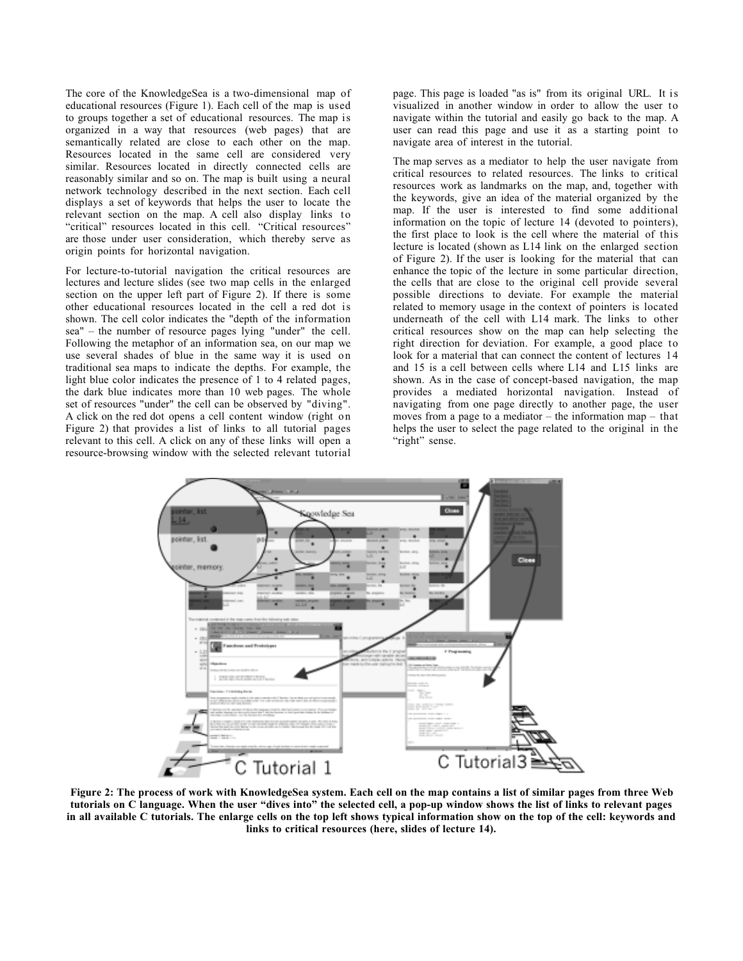The core of the KnowledgeSea is a two-dimensional map of educational resources (Figure 1). Each cell of the map is used to groups together a set of educational resources. The map is organized in a way that resources (web pages) that are semantically related are close to each other on the map. Resources located in the same cell are considered very similar. Resources located in directly connected cells are reasonably similar and so on. The map is built using a neural network technology described in the next section. Each cell displays a set of keywords that helps the user to locate the relevant section on the map. A cell also display links to "critical" resources located in this cell. "Critical resources" are those under user consideration, which thereby serve as origin points for horizontal navigation.

For lecture-to-tutorial navigation the critical resources are lectures and lecture slides (see two map cells in the enlarged section on the upper left part of Figure 2). If there is some other educational resources located in the cell a red dot is shown. The cell color indicates the "depth of the information sea" – the number of resource pages lying "under" the cell. Following the metaphor of an information sea, on our map we use several shades of blue in the same way it is used on traditional sea maps to indicate the depths. For example, the light blue color indicates the presence of 1 to 4 related pages, the dark blue indicates more than 10 web pages. The whole set of resources "under" the cell can be observed by "diving". A click on the red dot opens a cell content window (right on Figure 2) that provides a list of links to all tutorial pages relevant to this cell. A click on any of these links will open a resource-browsing window with the selected relevant tutorial page. This page is loaded "as is" from its original URL. It is visualized in another window in order to allow the user to navigate within the tutorial and easily go back to the map. A user can read this page and use it as a starting point to navigate area of interest in the tutorial.

The map serves as a mediator to help the user navigate from critical resources to related resources. The links to critical resources work as landmarks on the map, and, together with the keywords, give an idea of the material organized by the map. If the user is interested to find some additional information on the topic of lecture 14 (devoted to pointers), the first place to look is the cell where the material of this lecture is located (shown as L14 link on the enlarged section of Figure 2). If the user is looking for the material that can enhance the topic of the lecture in some particular direction, the cells that are close to the original cell provide several possible directions to deviate. For example the material related to memory usage in the context of pointers is located underneath of the cell with L14 mark. The links to other critical resources show on the map can help selecting the right direction for deviation. For example, a good place to look for a material that can connect the content of lectures 14 and 15 is a cell between cells where L14 and L15 links are shown. As in the case of concept-based navigation, the map provides a mediated horizontal navigation. Instead of navigating from one page directly to another page, the user moves from a page to a mediator – the information map – that helps the user to select the page related to the original in the "right" sense.



**Figure 2: The process of work with KnowledgeSea system. Each cell on the map contains a list of similar pages from three Web tutorials on C language. When the user "dives into" the selected cell, a pop-up window shows the list of links to relevant pages in all available C tutorials. The enlarge cells on the top left shows typical information show on the top of the cell: keywords and links to critical resources (here, slides of lecture 14).**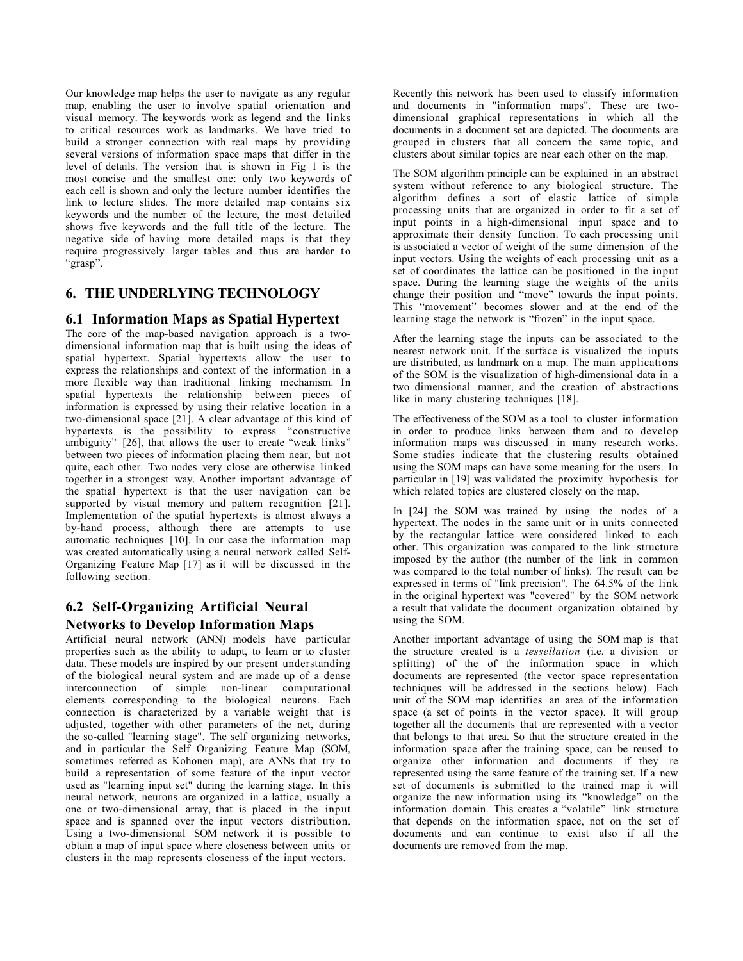Our knowledge map helps the user to navigate as any regular map, enabling the user to involve spatial orientation and visual memory. The keywords work as legend and the links to critical resources work as landmarks. We have tried to build a stronger connection with real maps by providing several versions of information space maps that differ in the level of details. The version that is shown in Fig 1 is the most concise and the smallest one: only two keywords of each cell is shown and only the lecture number identifies the link to lecture slides. The more detailed map contains six keywords and the number of the lecture, the most detailed shows five keywords and the full title of the lecture. The negative side of having more detailed maps is that they require progressively larger tables and thus are harder to "grasp".

# **6. THE UNDERLYING TECHNOLOGY**

#### **6.1 Information Maps as Spatial Hypertext**

The core of the map-based navigation approach is a twodimensional information map that is built using the ideas of spatial hypertext. Spatial hypertexts allow the user to express the relationships and context of the information in a more flexible way than traditional linking mechanism. In spatial hypertexts the relationship between pieces of information is expressed by using their relative location in a two-dimensional space [21]. A clear advantage of this kind of hypertexts is the possibility to express "constructive ambiguity" [26], that allows the user to create "weak links" between two pieces of information placing them near, but not quite, each other. Two nodes very close are otherwise linked together in a strongest way. Another important advantage of the spatial hypertext is that the user navigation can be supported by visual memory and pattern recognition [21]. Implementation of the spatial hypertexts is almost always a by-hand process, although there are attempts to use automatic techniques [10]. In our case the information map was created automatically using a neural network called Self-Organizing Feature Map [17] as it will be discussed in the following section.

# **6.2 Self-Organizing Artificial Neural Networks to Develop Information Maps**

Artificial neural network (ANN) models have particular properties such as the ability to adapt, to learn or to cluster data. These models are inspired by our present understanding of the biological neural system and are made up of a dense interconnection of simple non-linear computational elements corresponding to the biological neurons. Each connection is characterized by a variable weight that is adjusted, together with other parameters of the net, during the so-called "learning stage". The self organizing networks, and in particular the Self Organizing Feature Map (SOM, sometimes referred as Kohonen map), are ANNs that try to build a representation of some feature of the input vector used as "learning input set" during the learning stage. In this neural network, neurons are organized in a lattice, usually a one or two-dimensional array, that is placed in the input space and is spanned over the input vectors distribution. Using a two-dimensional SOM network it is possible to obtain a map of input space where closeness between units or clusters in the map represents closeness of the input vectors.

Recently this network has been used to classify information and documents in "information maps". These are twodimensional graphical representations in which all the documents in a document set are depicted. The documents are grouped in clusters that all concern the same topic, and clusters about similar topics are near each other on the map.

The SOM algorithm principle can be explained in an abstract system without reference to any biological structure. The algorithm defines a sort of elastic lattice of simple processing units that are organized in order to fit a set of input points in a high-dimensional input space and to approximate their density function. To each processing unit is associated a vector of weight of the same dimension of the input vectors. Using the weights of each processing unit as a set of coordinates the lattice can be positioned in the input space. During the learning stage the weights of the units change their position and "move" towards the input points. This "movement" becomes slower and at the end of the learning stage the network is "frozen" in the input space.

After the learning stage the inputs can be associated to the nearest network unit. If the surface is visualized the inputs are distributed, as landmark on a map. The main applications of the SOM is the visualization of high-dimensional data in a two dimensional manner, and the creation of abstractions like in many clustering techniques [18].

The effectiveness of the SOM as a tool to cluster information in order to produce links between them and to develop information maps was discussed in many research works. Some studies indicate that the clustering results obtained using the SOM maps can have some meaning for the users. In particular in [19] was validated the proximity hypothesis for which related topics are clustered closely on the map.

In [24] the SOM was trained by using the nodes of a hypertext. The nodes in the same unit or in units connected by the rectangular lattice were considered linked to each other. This organization was compared to the link structure imposed by the author (the number of the link in common was compared to the total number of links). The result can be expressed in terms of "link precision". The 64.5% of the link in the original hypertext was "covered" by the SOM network a result that validate the document organization obtained by using the SOM.

Another important advantage of using the SOM map is that the structure created is a *tessellation* (i.e. a division or splitting) of the of the information space in which documents are represented (the vector space representation techniques will be addressed in the sections below). Each unit of the SOM map identifies an area of the information space (a set of points in the vector space). It will group together all the documents that are represented with a vector that belongs to that area. So that the structure created in the information space after the training space, can be reused to organize other information and documents if they re represented using the same feature of the training set. If a new set of documents is submitted to the trained map it will organize the new information using its "knowledge" on the information domain. This creates a "volatile" link structure that depends on the information space, not on the set of documents and can continue to exist also if all the documents are removed from the map.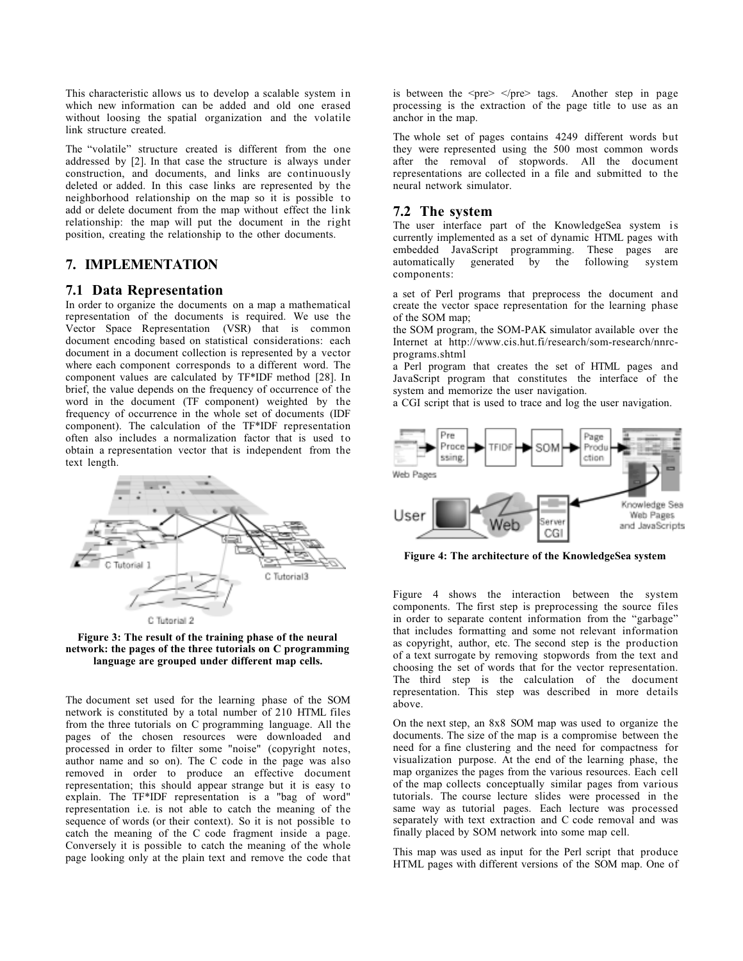This characteristic allows us to develop a scalable system in which new information can be added and old one erased without loosing the spatial organization and the volatile link structure created.

The "volatile" structure created is different from the one addressed by [2]. In that case the structure is always under construction, and documents, and links are continuously deleted or added. In this case links are represented by the neighborhood relationship on the map so it is possible to add or delete document from the map without effect the link relationship: the map will put the document in the right position, creating the relationship to the other documents.

# **7. IMPLEMENTATION**

#### **7.1 Data Representation**

In order to organize the documents on a map a mathematical representation of the documents is required. We use the Vector Space Representation (VSR) that is common document encoding based on statistical considerations: each document in a document collection is represented by a vector where each component corresponds to a different word. The component values are calculated by TF\*IDF method [28]. In brief, the value depends on the frequency of occurrence of the word in the document (TF component) weighted by the frequency of occurrence in the whole set of documents (IDF component). The calculation of the TF\*IDF representation often also includes a normalization factor that is used to obtain a representation vector that is independent from the text length.





The document set used for the learning phase of the SOM network is constituted by a total number of 210 HTML files from the three tutorials on C programming language. All the pages of the chosen resources were downloaded and processed in order to filter some "noise" (copyright notes, author name and so on). The C code in the page was also removed in order to produce an effective document representation; this should appear strange but it is easy to explain. The TF\*IDF representation is a "bag of word" representation i.e. is not able to catch the meaning of the sequence of words (or their context). So it is not possible to catch the meaning of the C code fragment inside a page. Conversely it is possible to catch the meaning of the whole page looking only at the plain text and remove the code that is between the  $\langle pre \rangle$   $\langle pre \rangle$  tags. Another step in page processing is the extraction of the page title to use as an anchor in the map.

The whole set of pages contains 4249 different words but they were represented using the 500 most common words after the removal of stopwords. All the document representations are collected in a file and submitted to the neural network simulator.

#### **7.2 The system**

The user interface part of the KnowledgeSea system is currently implemented as a set of dynamic HTML pages with embedded JavaScript programming. These pages are automatically generated by the following system components:

a set of Perl programs that preprocess the document and create the vector space representation for the learning phase of the SOM map;

the SOM program, the SOM-PAK simulator available over the Internet at http://www.cis.hut.fi/research/som-research/nnrcprograms.shtml

a Perl program that creates the set of HTML pages and JavaScript program that constitutes the interface of the system and memorize the user navigation.

a CGI script that is used to trace and log the user navigation.



**Figure 4: The architecture of the KnowledgeSea system**

Figure 4 shows the interaction between the system components. The first step is preprocessing the source files in order to separate content information from the "garbage" that includes formatting and some not relevant information as copyright, author, etc. The second step is the production of a text surrogate by removing stopwords from the text and choosing the set of words that for the vector representation. The third step is the calculation of the document representation. This step was described in more details above.

On the next step, an 8x8 SOM map was used to organize the documents. The size of the map is a compromise between the need for a fine clustering and the need for compactness for visualization purpose. At the end of the learning phase, the map organizes the pages from the various resources. Each cell of the map collects conceptually similar pages from various tutorials. The course lecture slides were processed in the same way as tutorial pages. Each lecture was processed separately with text extraction and C code removal and was finally placed by SOM network into some map cell.

This map was used as input for the Perl script that produce HTML pages with different versions of the SOM map. One of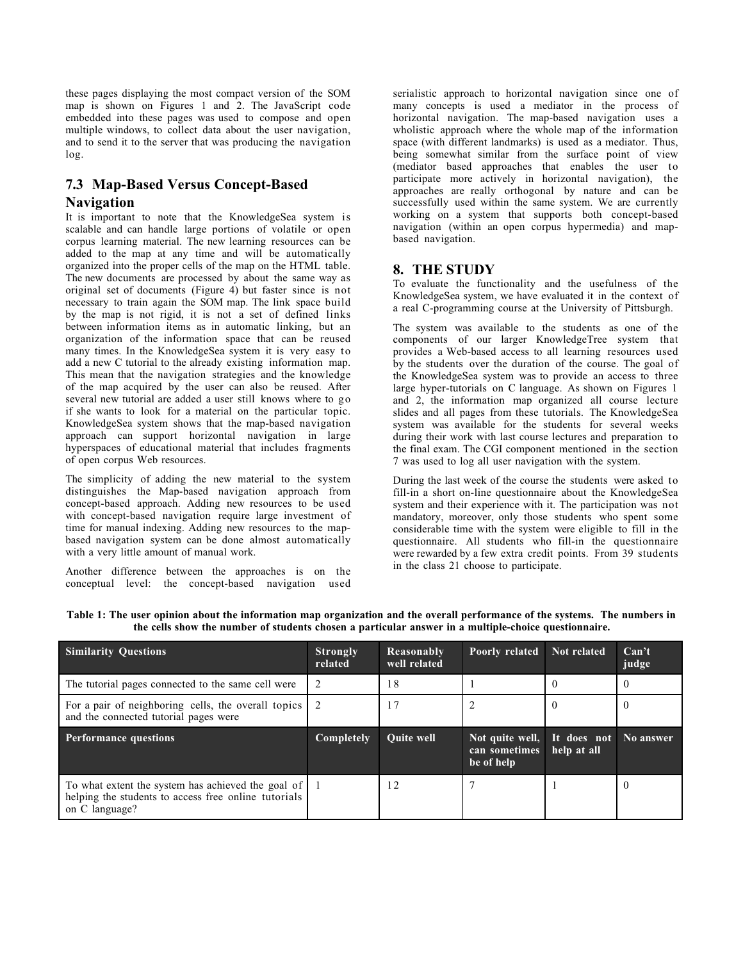these pages displaying the most compact version of the SOM map is shown on Figures 1 and 2. The JavaScript code embedded into these pages was used to compose and open multiple windows, to collect data about the user navigation, and to send it to the server that was producing the navigation log.

# **7.3 Map-Based Versus Concept-Based**

# **Navigation**

It is important to note that the KnowledgeSea system is scalable and can handle large portions of volatile or open corpus learning material. The new learning resources can be added to the map at any time and will be automatically organized into the proper cells of the map on the HTML table. The new documents are processed by about the same way as original set of documents (Figure 4) but faster since is not necessary to train again the SOM map. The link space build by the map is not rigid, it is not a set of defined links between information items as in automatic linking, but an organization of the information space that can be reused many times. In the KnowledgeSea system it is very easy to add a new C tutorial to the already existing information map. This mean that the navigation strategies and the knowledge of the map acquired by the user can also be reused. After several new tutorial are added a user still knows where to go if she wants to look for a material on the particular topic. KnowledgeSea system shows that the map-based navigation approach can support horizontal navigation in large hyperspaces of educational material that includes fragments of open corpus Web resources.

The simplicity of adding the new material to the system distinguishes the Map-based navigation approach from concept-based approach. Adding new resources to be used with concept-based navigation require large investment of time for manual indexing. Adding new resources to the mapbased navigation system can be done almost automatically with a very little amount of manual work.

Another difference between the approaches is on the conceptual level: the concept-based navigation used

serialistic approach to horizontal navigation since one of many concepts is used a mediator in the process of horizontal navigation. The map-based navigation uses a wholistic approach where the whole map of the information space (with different landmarks) is used as a mediator. Thus, being somewhat similar from the surface point of view (mediator based approaches that enables the user to participate more actively in horizontal navigation), the approaches are really orthogonal by nature and can be successfully used within the same system. We are currently working on a system that supports both concept-based navigation (within an open corpus hypermedia) and mapbased navigation.

# **8. THE STUDY**

To evaluate the functionality and the usefulness of the KnowledgeSea system, we have evaluated it in the context of a real C-programming course at the University of Pittsburgh.

The system was available to the students as one of the components of our larger KnowledgeTree system that provides a Web-based access to all learning resources used by the students over the duration of the course. The goal of the KnowledgeSea system was to provide an access to three large hyper-tutorials on C language. As shown on Figures 1 and 2, the information map organized all course lecture slides and all pages from these tutorials. The KnowledgeSea system was available for the students for several weeks during their work with last course lectures and preparation to the final exam. The CGI component mentioned in the section 7 was used to log all user navigation with the system.

During the last week of the course the students were asked to fill-in a short on-line questionnaire about the KnowledgeSea system and their experience with it. The participation was not mandatory, moreover, only those students who spent some considerable time with the system were eligible to fill in the questionnaire. All students who fill-in the questionnaire were rewarded by a few extra credit points. From 39 students in the class 21 choose to participate.

| <b>Similarity Questions</b>                                                                  | <b>Strongly</b><br>related | Reasonably<br>well related | Poorly related                                 | Not related                | Can't<br>judge |
|----------------------------------------------------------------------------------------------|----------------------------|----------------------------|------------------------------------------------|----------------------------|----------------|
| The tutorial pages connected to the same cell were                                           | 2                          | 18                         |                                                | $\Omega$                   | $\theta$       |
| For a pair of neighboring cells, the overall topics<br>and the connected tutorial pages were | 2                          | 17                         | 2                                              | 0                          | $\theta$       |
| <b>Performance questions</b>                                                                 | Completely                 | <b>Ouite well</b>          | Not quite well,<br>can sometimes<br>be of help | It does not<br>help at all | No answer      |
|                                                                                              |                            |                            |                                                |                            |                |

**Table 1: The user opinion about the information map organization and the overall performance of the systems. The numbers in the cells show the number of students chosen a particular answer in a multiple-choice questionnaire.**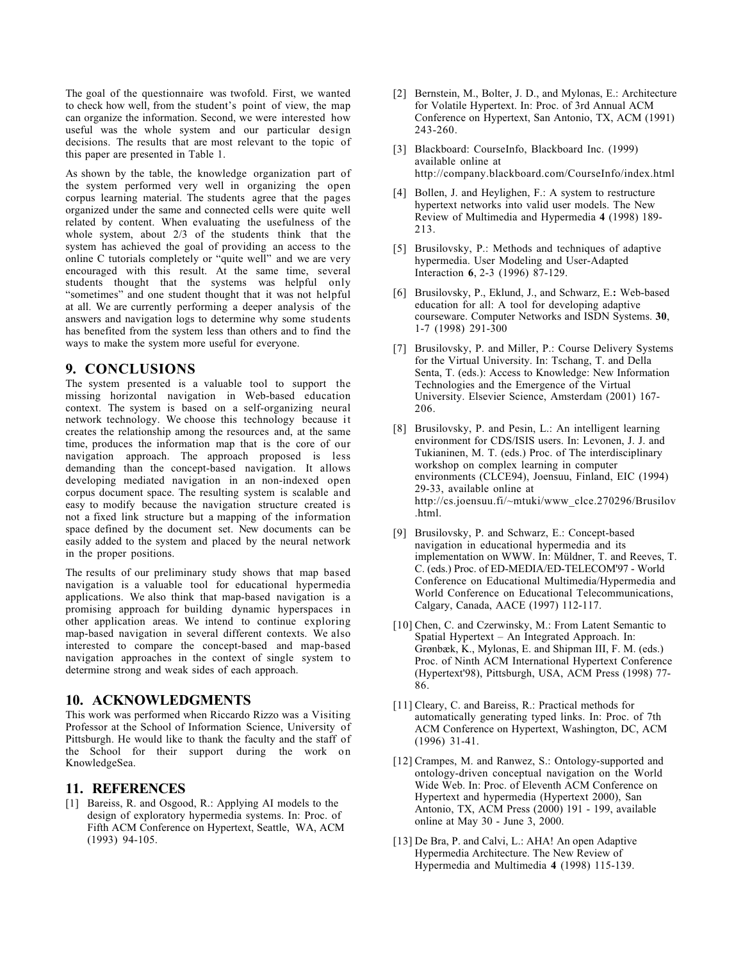The goal of the questionnaire was twofold. First, we wanted to check how well, from the student's point of view, the map can organize the information. Second, we were interested how useful was the whole system and our particular design decisions. The results that are most relevant to the topic of this paper are presented in Table 1.

As shown by the table, the knowledge organization part of the system performed very well in organizing the open corpus learning material. The students agree that the pages organized under the same and connected cells were quite well related by content. When evaluating the usefulness of the whole system, about 2/3 of the students think that the system has achieved the goal of providing an access to the online C tutorials completely or "quite well" and we are very encouraged with this result. At the same time, several students thought that the systems was helpful only "sometimes" and one student thought that it was not helpful at all. We are currently performing a deeper analysis of the answers and navigation logs to determine why some students has benefited from the system less than others and to find the ways to make the system more useful for everyone.

# **9. CONCLUSIONS**

The system presented is a valuable tool to support the missing horizontal navigation in Web-based education context. The system is based on a self-organizing neural network technology. We choose this technology because it creates the relationship among the resources and, at the same time, produces the information map that is the core of our navigation approach. The approach proposed is less demanding than the concept-based navigation. It allows developing mediated navigation in an non-indexed open corpus document space. The resulting system is scalable and easy to modify because the navigation structure created is not a fixed link structure but a mapping of the information space defined by the document set. New documents can be easily added to the system and placed by the neural network in the proper positions.

The results of our preliminary study shows that map based navigation is a valuable tool for educational hypermedia applications. We also think that map-based navigation is a promising approach for building dynamic hyperspaces in other application areas. We intend to continue exploring map-based navigation in several different contexts. We also interested to compare the concept-based and map-based navigation approaches in the context of single system to determine strong and weak sides of each approach.

# **10. ACKNOWLEDGMENTS**

This work was performed when Riccardo Rizzo was a Visiting Professor at the School of Information Science, University of Pittsburgh. He would like to thank the faculty and the staff of the School for their support during the work on KnowledgeSea.

# **11. REFERENCES**

[1] Bareiss, R. and Osgood, R.: Applying AI models to the design of exploratory hypermedia systems. In: Proc. of Fifth ACM Conference on Hypertext, Seattle, WA, ACM (1993) 94-105.

- [2] Bernstein, M., Bolter, J. D., and Mylonas, E.: Architecture for Volatile Hypertext. In: Proc. of 3rd Annual ACM Conference on Hypertext, San Antonio, TX, ACM (1991) 243-260.
- [3] Blackboard: CourseInfo, Blackboard Inc. (1999) available online at http://company.blackboard.com/CourseInfo/index.html
- [4] Bollen, J. and Heylighen, F.: A system to restructure hypertext networks into valid user models. The New Review of Multimedia and Hypermedia **4** (1998) 189- 213.
- [5] Brusilovsky, P.: Methods and techniques of adaptive hypermedia. User Modeling and User-Adapted Interaction **6**, 2-3 (1996) 87-129.
- [6] Brusilovsky, P., Eklund, J., and Schwarz, E.**:** Web-based education for all: A tool for developing adaptive courseware. Computer Networks and ISDN Systems. **30**, 1-7 (1998) 291-300
- [7] Brusilovsky, P. and Miller, P.: Course Delivery Systems for the Virtual University. In: Tschang, T. and Della Senta, T. (eds.): Access to Knowledge: New Information Technologies and the Emergence of the Virtual University. Elsevier Science, Amsterdam (2001) 167- 206.
- [8] Brusilovsky, P. and Pesin, L.: An intelligent learning environment for CDS/ISIS users. In: Levonen, J. J. and Tukianinen, M. T. (eds.) Proc. of The interdisciplinary workshop on complex learning in computer environments (CLCE94), Joensuu, Finland, EIC (1994) 29-33, available online at http://cs.joensuu.fi/~mtuki/www\_clce.270296/Brusilov .html.
- [9] Brusilovsky, P. and Schwarz, E.: Concept-based navigation in educational hypermedia and its implementation on WWW. In: Müldner, T. and Reeves, T. C. (eds.) Proc. of ED-MEDIA/ED-TELECOM'97 - World Conference on Educational Multimedia/Hypermedia and World Conference on Educational Telecommunications, Calgary, Canada, AACE (1997) 112-117.
- [10] Chen, C. and Czerwinsky, M.: From Latent Semantic to Spatial Hypertext – An Integrated Approach. In: Grønbæk, K., Mylonas, E. and Shipman III, F. M. (eds.) Proc. of Ninth ACM International Hypertext Conference (Hypertext'98), Pittsburgh, USA, ACM Press (1998) 77- 86.
- [11] Cleary, C. and Bareiss, R.: Practical methods for automatically generating typed links. In: Proc. of 7th ACM Conference on Hypertext, Washington, DC, ACM (1996) 31-41.
- [12] Crampes, M. and Ranwez, S.: Ontology-supported and ontology-driven conceptual navigation on the World Wide Web. In: Proc. of Eleventh ACM Conference on Hypertext and hypermedia (Hypertext 2000), San Antonio, TX, ACM Press (2000) 191 - 199, available online at May 30 - June 3, 2000.
- [13] De Bra, P. and Calvi, L.: AHA! An open Adaptive Hypermedia Architecture. The New Review of Hypermedia and Multimedia **4** (1998) 115-139.